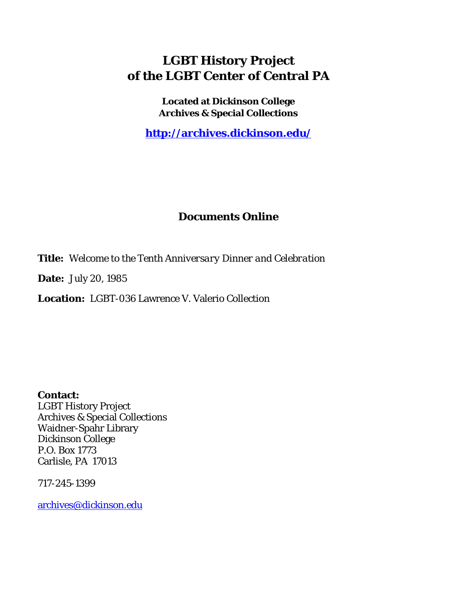# **LGBT History Project of the LGBT Center of Central PA**

**Located at Dickinson College Archives & Special Collections**

**<http://archives.dickinson.edu/>**

## **Documents Online**

**Title:** *Welcome to the Tenth Anniversary Dinner and Celebration*

**Date:** July 20, 1985

**Location:** LGBT-036 Lawrence V. Valerio Collection

**Contact:**  LGBT History Project Archives & Special Collections Waidner-Spahr Library Dickinson College P.O. Box 1773 Carlisle, PA 17013

717-245-1399

[archives@dickinson.edu](mailto:archives@dickinson.edu)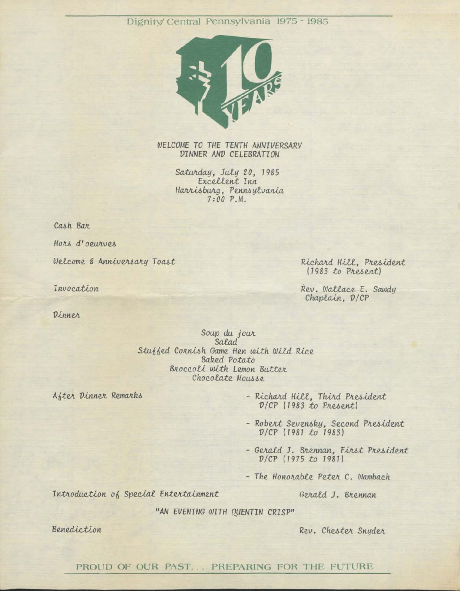## Dignity/ Central Pennsylvania 1975 - 1985



WELCOME TO THE TENTH ANNIVERSARY DINNER AND CELEBRATION

> Saturday, July 20, 1985 Excellent Inn Harrisburg, Pennsylvania  $7:00 P.M.$

Cash Bar

Hors d'oeurves

Welcome & Anniversary Toast

Invocation

Dinner

Richard Hill, President (1983 to Present)

Rev. Wallace E. Sawdy Chaplain. D/CP

Soup du jour Salad Stuffed Cornish Game Hen with Wild Rice **Baked Potato** Broccoli with Lemon Butter Chocolate Mousse

After Dinner Remarks

- Richard Hill, Third President D/CP (1983 to Present)

- Robert Sevensky, Second President<br>D/CP (1981 to 1983)

- Gerald J. Brennan, First President  $D/CP$  (1975 to 1981)

- The Honorable Peter C. Wambach

Introduction of Special Entertainment

Gerald J. Brennan

"AN EVENING WITH OUENTIN CRISP"

Benediction

Rev. Chester Snyder